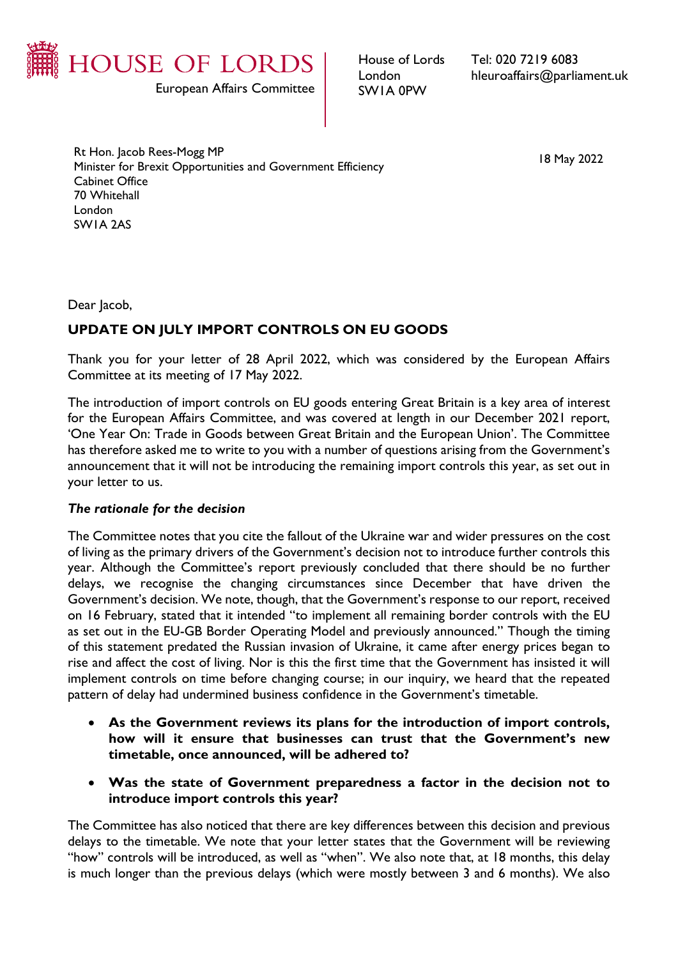

House of Lords London SW1A 0PW

Tel: 020 7219 6083 hleuroaffairs@parliament.uk

Rt Hon. Jacob Rees-Mogg MP Minister for Brexit Opportunities and Government Efficiency Cabinet Office 70 Whitehall London SW1A 2AS

Dear Jacob,

# **UPDATE ON JULY IMPORT CONTROLS ON EU GOODS**

Thank you for your letter of 28 April 2022, which was considered by the European Affairs Committee at its meeting of 17 May 2022.

The introduction of import controls on EU goods entering Great Britain is a key area of interest for the European Affairs Committee, and was covered at length in our December 2021 report, 'One Year On: Trade in Goods between Great Britain and the European Union'. The Committee has therefore asked me to write to you with a number of questions arising from the Government's announcement that it will not be introducing the remaining import controls this year, as set out in your letter to us.

#### *The rationale for the decision*

The Committee notes that you cite the fallout of the Ukraine war and wider pressures on the cost of living as the primary drivers of the Government's decision not to introduce further controls this year. Although the Committee's report previously concluded that there should be no further delays, we recognise the changing circumstances since December that have driven the Government's decision. We note, though, that the Government's response to our report, received on 16 February, stated that it intended "to implement all remaining border controls with the EU as set out in the EU-GB Border Operating Model and previously announced." Though the timing of this statement predated the Russian invasion of Ukraine, it came after energy prices began to rise and affect the cost of living. Nor is this the first time that the Government has insisted it will implement controls on time before changing course; in our inquiry, we heard that the repeated pattern of delay had undermined business confidence in the Government's timetable.

- **As the Government reviews its plans for the introduction of import controls, how will it ensure that businesses can trust that the Government's new timetable, once announced, will be adhered to?**
- **Was the state of Government preparedness a factor in the decision not to introduce import controls this year?**

The Committee has also noticed that there are key differences between this decision and previous delays to the timetable. We note that your letter states that the Government will be reviewing "how" controls will be introduced, as well as "when". We also note that, at 18 months, this delay is much longer than the previous delays (which were mostly between 3 and 6 months). We also

18 May 2022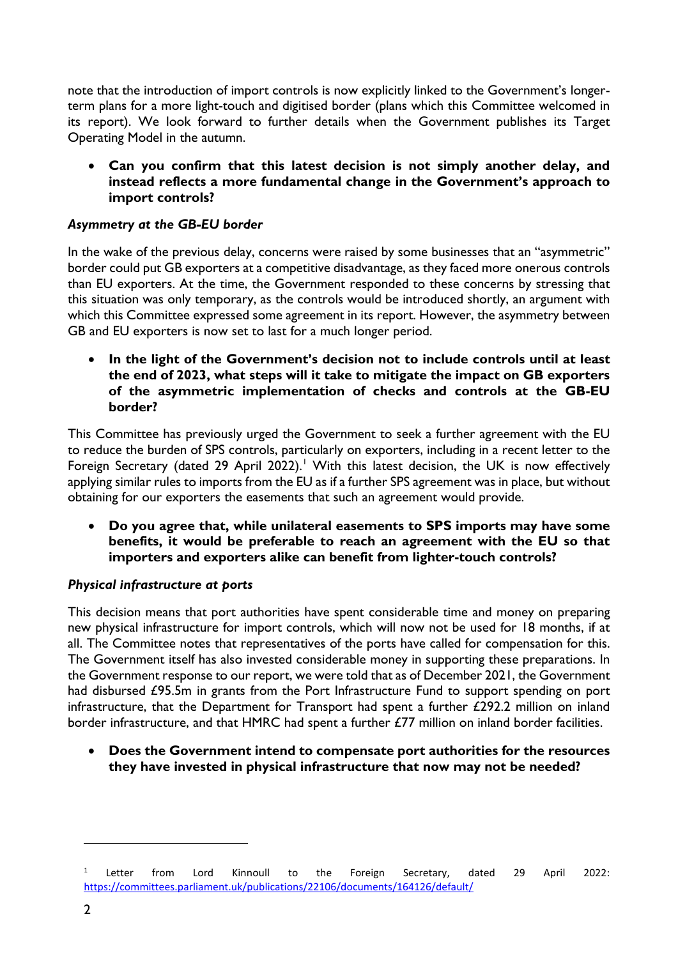note that the introduction of import controls is now explicitly linked to the Government's longerterm plans for a more light-touch and digitised border (plans which this Committee welcomed in its report). We look forward to further details when the Government publishes its Target Operating Model in the autumn.

• **Can you confirm that this latest decision is not simply another delay, and instead reflects a more fundamental change in the Government's approach to import controls?**

## *Asymmetry at the GB-EU border*

In the wake of the previous delay, concerns were raised by some businesses that an "asymmetric" border could put GB exporters at a competitive disadvantage, as they faced more onerous controls than EU exporters. At the time, the Government responded to these concerns by stressing that this situation was only temporary, as the controls would be introduced shortly, an argument with which this Committee expressed some agreement in its report. However, the asymmetry between GB and EU exporters is now set to last for a much longer period.

• **In the light of the Government's decision not to include controls until at least the end of 2023, what steps will it take to mitigate the impact on GB exporters of the asymmetric implementation of checks and controls at the GB-EU border?**

This Committee has previously urged the Government to seek a further agreement with the EU to reduce the burden of SPS controls, particularly on exporters, including in a recent letter to the Foreign Secretary (dated 29 April 2022).<sup>[1](#page-1-0)</sup> With this latest decision, the UK is now effectively applying similar rules to imports from the EU as if a further SPS agreement was in place, but without obtaining for our exporters the easements that such an agreement would provide.

• **Do you agree that, while unilateral easements to SPS imports may have some benefits, it would be preferable to reach an agreement with the EU so that importers and exporters alike can benefit from lighter-touch controls?**

## *Physical infrastructure at ports*

This decision means that port authorities have spent considerable time and money on preparing new physical infrastructure for import controls, which will now not be used for 18 months, if at all. The Committee notes that representatives of the ports have called for compensation for this. The Government itself has also invested considerable money in supporting these preparations. In the Government response to our report, we were told that as of December 2021, the Government had disbursed £95.5m in grants from the Port Infrastructure Fund to support spending on port infrastructure, that the Department for Transport had spent a further £292.2 million on inland border infrastructure, and that HMRC had spent a further £77 million on inland border facilities.

• **Does the Government intend to compensate port authorities for the resources they have invested in physical infrastructure that now may not be needed?** 

<span id="page-1-0"></span><sup>&</sup>lt;sup>1</sup> Letter from Lord Kinnoull to the Foreign Secretary, dated 29 April 2022: <https://committees.parliament.uk/publications/22106/documents/164126/default/>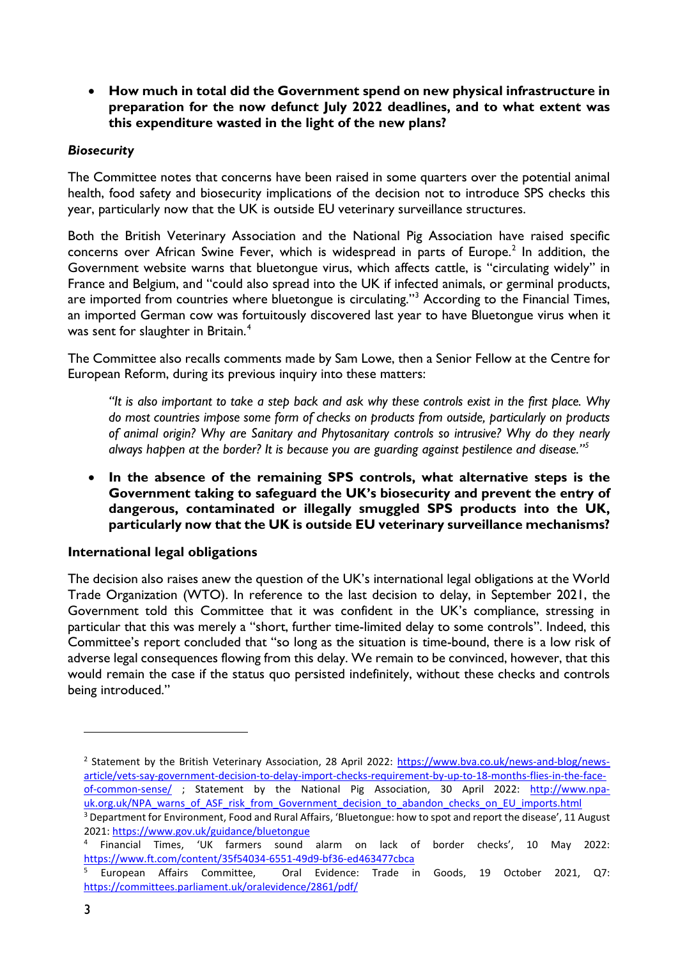• **How much in total did the Government spend on new physical infrastructure in preparation for the now defunct July 2022 deadlines, and to what extent was this expenditure wasted in the light of the new plans?**

#### *Biosecurity*

The Committee notes that concerns have been raised in some quarters over the potential animal health, food safety and biosecurity implications of the decision not to introduce SPS checks this year, particularly now that the UK is outside EU veterinary surveillance structures.

Both the British Veterinary Association and the National Pig Association have raised specific concerns over African Swine Fever, which is widespread in parts of Europe.<sup>[2](#page-2-0)</sup> In addition, the Government website warns that bluetongue virus, which affects cattle, is "circulating widely" in France and Belgium, and "could also spread into the UK if infected animals, or germinal products, are imported from countries where bluetongue is circulating."[3](#page-2-1) According to the Financial Times, an imported German cow was fortuitously discovered last year to have Bluetongue virus when it was sent for slaughter in Britain.<sup>[4](#page-2-2)</sup>

The Committee also recalls comments made by Sam Lowe, then a Senior Fellow at the Centre for European Reform, during its previous inquiry into these matters:

*"It is also important to take a step back and ask why these controls exist in the first place. Why do most countries impose some form of checks on products from outside, particularly on products of animal origin? Why are Sanitary and Phytosanitary controls so intrusive? Why do they nearly always happen at the border? It is because you are guarding against pestilence and disease."[5](#page-2-3)*

• **In the absence of the remaining SPS controls, what alternative steps is the Government taking to safeguard the UK's biosecurity and prevent the entry of dangerous, contaminated or illegally smuggled SPS products into the UK, particularly now that the UK is outside EU veterinary surveillance mechanisms?** 

## **International legal obligations**

The decision also raises anew the question of the UK's international legal obligations at the World Trade Organization (WTO). In reference to the last decision to delay, in September 2021, the Government told this Committee that it was confident in the UK's compliance, stressing in particular that this was merely a "short, further time-limited delay to some controls". Indeed, this Committee's report concluded that "so long as the situation is time-bound, there is a low risk of adverse legal consequences flowing from this delay. We remain to be convinced, however, that this would remain the case if the status quo persisted indefinitely, without these checks and controls being introduced."

<span id="page-2-0"></span><sup>&</sup>lt;sup>2</sup> Statement by the British Veterinary Association, 28 April 2022: [https://www.bva.co.uk/news-and-blog/news](https://www.bva.co.uk/news-and-blog/news-article/vets-say-government-decision-to-delay-import-checks-requirement-by-up-to-18-months-flies-in-the-face-of-common-sense/)[article/vets-say-government-decision-to-delay-import-checks-requirement-by-up-to-18-months-flies-in-the-face](https://www.bva.co.uk/news-and-blog/news-article/vets-say-government-decision-to-delay-import-checks-requirement-by-up-to-18-months-flies-in-the-face-of-common-sense/)[of-common-sense/](https://www.bva.co.uk/news-and-blog/news-article/vets-say-government-decision-to-delay-import-checks-requirement-by-up-to-18-months-flies-in-the-face-of-common-sense/) ; Statement by the National Pig Association, 30 April 2022: [http://www.npa](http://www.npa-uk.org.uk/NPA_warns_of_ASF_risk_from_Government_decision_to_abandon_checks_on_EU_imports.html)[uk.org.uk/NPA\\_warns\\_of\\_ASF\\_risk\\_from\\_Government\\_decision\\_to\\_abandon\\_checks\\_on\\_EU\\_imports.html](http://www.npa-uk.org.uk/NPA_warns_of_ASF_risk_from_Government_decision_to_abandon_checks_on_EU_imports.html) 3 Department for Environment, Food and Rural Affairs, 'Bluetongue: how to spot and report the disease', 11 August

<span id="page-2-1"></span><sup>2021:</sup> https://www.gov.uk/guidance/bluetongue<br><sup>4</sup> Financial Times, 'UK farmers sound alarm on lack of border checks', 10 May 2022:

<span id="page-2-2"></span>https://www.ft.com/content/35f54034-6551-49d9-bf36-ed463477cbca<br>
<sup>5</sup> European Affairs Committee, Oral Evidence: Trade in Goods, 19 October 2021, Q7:

<span id="page-2-3"></span><https://committees.parliament.uk/oralevidence/2861/pdf/>